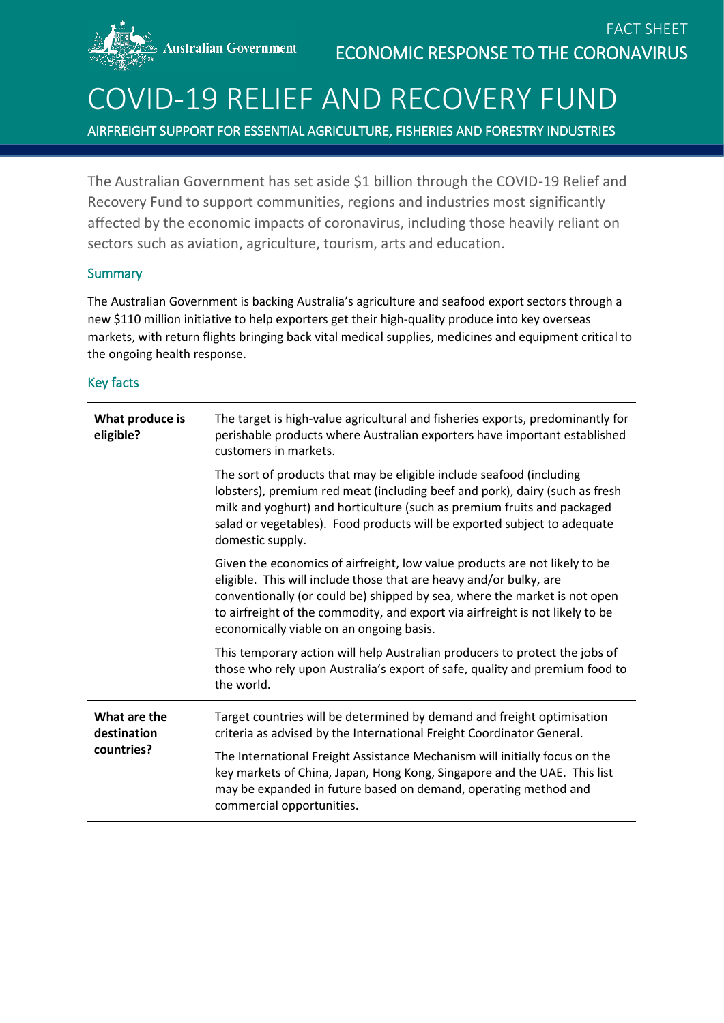**Australian Government** 

# COVID-19 RELIEF AND RECOVERY FUND

AIRFREIGHT SUPPORT FOR ESSENTIAL AGRICULTURE, FISHERIES AND FORESTRY INDUSTRIES

The Australian Government has set aside \$1 billion through the COVID-19 Relief and Recovery Fund to support communities, regions and industries most significantly affected by the economic impacts of coronavirus, including those heavily reliant on sectors such as aviation, agriculture, tourism, arts and education.

#### **Summary**

The Australian Government is backing Australia's agriculture and seafood export sectors through a new \$110 million initiative to help exporters get their high-quality produce into key overseas markets, with return flights bringing back vital medical supplies, medicines and equipment critical to the ongoing health response.

#### Key facts

| What produce is<br>eligible?              | The target is high-value agricultural and fisheries exports, predominantly for<br>perishable products where Australian exporters have important established<br>customers in markets.                                                                                                                                                                       |
|-------------------------------------------|------------------------------------------------------------------------------------------------------------------------------------------------------------------------------------------------------------------------------------------------------------------------------------------------------------------------------------------------------------|
|                                           | The sort of products that may be eligible include seafood (including<br>lobsters), premium red meat (including beef and pork), dairy (such as fresh<br>milk and yoghurt) and horticulture (such as premium fruits and packaged<br>salad or vegetables). Food products will be exported subject to adequate<br>domestic supply.                             |
|                                           | Given the economics of airfreight, low value products are not likely to be<br>eligible. This will include those that are heavy and/or bulky, are<br>conventionally (or could be) shipped by sea, where the market is not open<br>to airfreight of the commodity, and export via airfreight is not likely to be<br>economically viable on an ongoing basis. |
|                                           | This temporary action will help Australian producers to protect the jobs of<br>those who rely upon Australia's export of safe, quality and premium food to<br>the world.                                                                                                                                                                                   |
| What are the<br>destination<br>countries? | Target countries will be determined by demand and freight optimisation<br>criteria as advised by the International Freight Coordinator General.                                                                                                                                                                                                            |
|                                           | The International Freight Assistance Mechanism will initially focus on the<br>key markets of China, Japan, Hong Kong, Singapore and the UAE. This list<br>may be expanded in future based on demand, operating method and<br>commercial opportunities.                                                                                                     |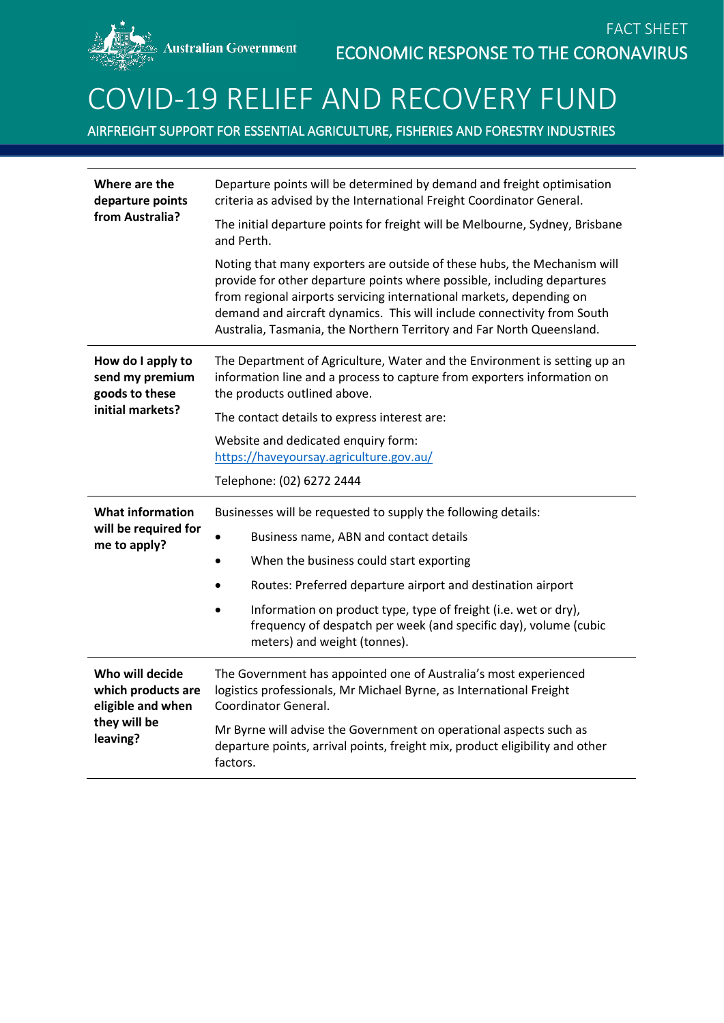### COVID-19 RELIEF AND RECOVERY FUND

AIRFREIGHT SUPPORT FOR ESSENTIAL AGRICULTURE, FISHERIES AND FORESTRY INDUSTRIES

| Where are the<br>departure points<br>from Australia?                       | Departure points will be determined by demand and freight optimisation<br>criteria as advised by the International Freight Coordinator General.                                                                                                                                                                                                                                 |
|----------------------------------------------------------------------------|---------------------------------------------------------------------------------------------------------------------------------------------------------------------------------------------------------------------------------------------------------------------------------------------------------------------------------------------------------------------------------|
|                                                                            | The initial departure points for freight will be Melbourne, Sydney, Brisbane<br>and Perth.                                                                                                                                                                                                                                                                                      |
|                                                                            | Noting that many exporters are outside of these hubs, the Mechanism will<br>provide for other departure points where possible, including departures<br>from regional airports servicing international markets, depending on<br>demand and aircraft dynamics. This will include connectivity from South<br>Australia, Tasmania, the Northern Territory and Far North Queensland. |
| How do I apply to<br>send my premium<br>goods to these<br>initial markets? | The Department of Agriculture, Water and the Environment is setting up an<br>information line and a process to capture from exporters information on<br>the products outlined above.                                                                                                                                                                                            |
|                                                                            | The contact details to express interest are:                                                                                                                                                                                                                                                                                                                                    |
|                                                                            | Website and dedicated enquiry form:<br>https://haveyoursay.agriculture.gov.au/                                                                                                                                                                                                                                                                                                  |
|                                                                            | Telephone: (02) 6272 2444                                                                                                                                                                                                                                                                                                                                                       |
|                                                                            |                                                                                                                                                                                                                                                                                                                                                                                 |
| <b>What information</b>                                                    | Businesses will be requested to supply the following details:                                                                                                                                                                                                                                                                                                                   |
| will be required for                                                       | Business name, ABN and contact details                                                                                                                                                                                                                                                                                                                                          |
| me to apply?                                                               | When the business could start exporting                                                                                                                                                                                                                                                                                                                                         |
|                                                                            | Routes: Preferred departure airport and destination airport                                                                                                                                                                                                                                                                                                                     |
|                                                                            | Information on product type, type of freight (i.e. wet or dry),<br>frequency of despatch per week (and specific day), volume (cubic<br>meters) and weight (tonnes).                                                                                                                                                                                                             |
| Who will decide<br>which products are<br>eligible and when<br>they will be | The Government has appointed one of Australia's most experienced<br>logistics professionals, Mr Michael Byrne, as International Freight<br><b>Coordinator General.</b>                                                                                                                                                                                                          |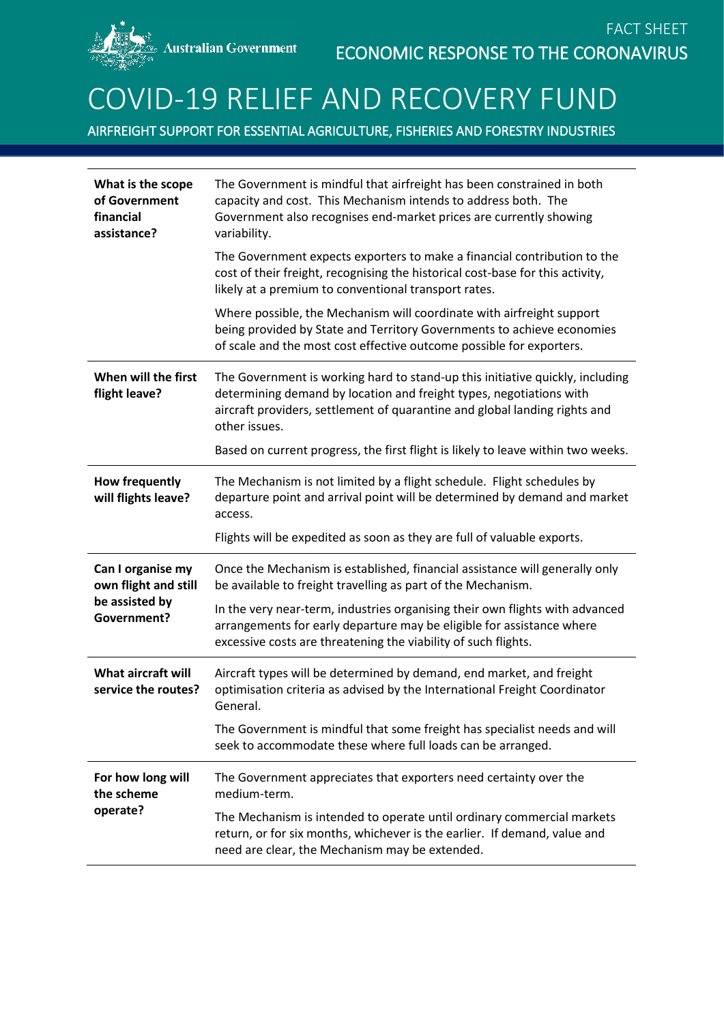## COVID-19 RELIEF AND RECOVERY FUND

AIRFREIGHT SUPPORT FOR ESSENTIAL AGRICULTURE, FISHERIES AND FORESTRY INDUSTRIES

| What is the scope<br>of Government<br>financial<br>assistance?                    | The Government is mindful that airfreight has been constrained in both<br>capacity and cost. This Mechanism intends to address both. The<br>Government also recognises end-market prices are currently showing<br>variability.                      |
|-----------------------------------------------------------------------------------|-----------------------------------------------------------------------------------------------------------------------------------------------------------------------------------------------------------------------------------------------------|
|                                                                                   | The Government expects exporters to make a financial contribution to the<br>cost of their freight, recognising the historical cost-base for this activity,<br>likely at a premium to conventional transport rates.                                  |
|                                                                                   | Where possible, the Mechanism will coordinate with airfreight support<br>being provided by State and Territory Governments to achieve economies<br>of scale and the most cost effective outcome possible for exporters.                             |
| When will the first<br>flight leave?                                              | The Government is working hard to stand-up this initiative quickly, including<br>determining demand by location and freight types, negotiations with<br>aircraft providers, settlement of quarantine and global landing rights and<br>other issues. |
|                                                                                   | Based on current progress, the first flight is likely to leave within two weeks.                                                                                                                                                                    |
| <b>How frequently</b><br>will flights leave?                                      | The Mechanism is not limited by a flight schedule. Flight schedules by<br>departure point and arrival point will be determined by demand and market<br>access.                                                                                      |
|                                                                                   | Flights will be expedited as soon as they are full of valuable exports.                                                                                                                                                                             |
| Can I organise my<br>own flight and still<br>be assisted by<br><b>Government?</b> | Once the Mechanism is established, financial assistance will generally only<br>be available to freight travelling as part of the Mechanism.                                                                                                         |
|                                                                                   | In the very near-term, industries organising their own flights with advanced<br>arrangements for early departure may be eligible for assistance where<br>excessive costs are threatening the viability of such flights.                             |
| What aircraft will<br>service the routes?                                         | Aircraft types will be determined by demand, end market, and freight<br>optimisation criteria as advised by the International Freight Coordinator<br>General.                                                                                       |
|                                                                                   | The Government is mindful that some freight has specialist needs and will                                                                                                                                                                           |
|                                                                                   | seek to accommodate these where full loads can be arranged.                                                                                                                                                                                         |
| For how long will<br>the scheme<br>operate?                                       | The Government appreciates that exporters need certainty over the<br>medium-term.                                                                                                                                                                   |